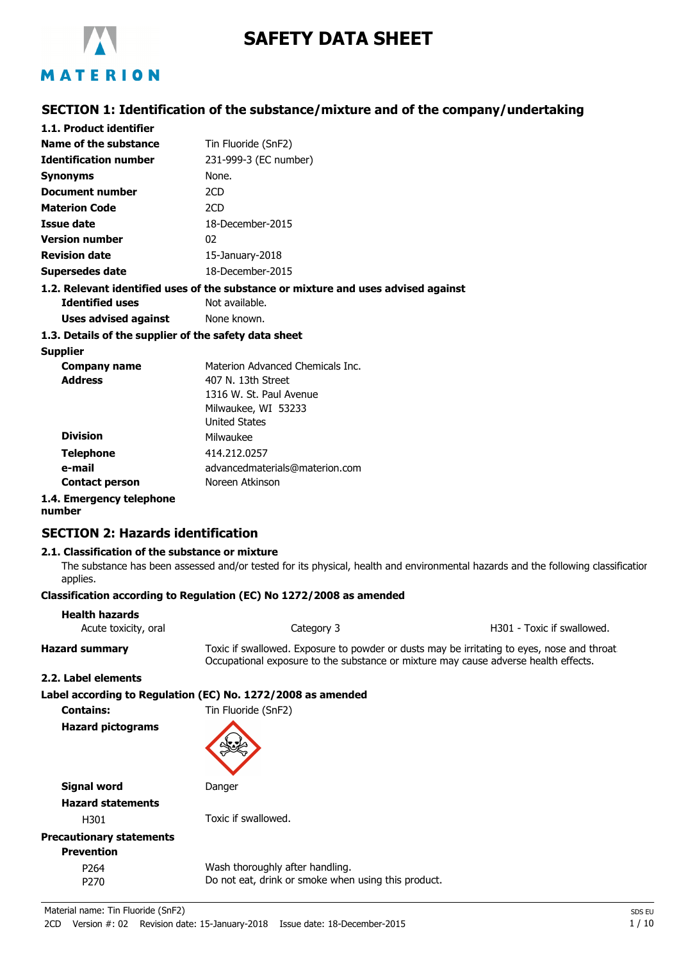

# **SAFETY DATA SHEET**

## **SECTION 1: Identification of the substance/mixture and of the company/undertaking**

| 1.1. Product identifier                               |                                                                                    |
|-------------------------------------------------------|------------------------------------------------------------------------------------|
| Name of the substance                                 | Tin Fluoride (SnF2)                                                                |
| <b>Identification number</b>                          | 231-999-3 (EC number)                                                              |
| <b>Synonyms</b>                                       | None.                                                                              |
| Document number                                       | 2CD                                                                                |
| <b>Materion Code</b>                                  | 2CD                                                                                |
| Issue date                                            | 18-December-2015                                                                   |
| <b>Version number</b>                                 | 02                                                                                 |
| <b>Revision date</b>                                  | $15$ -January-2018                                                                 |
| Supersedes date                                       | 18-December-2015                                                                   |
|                                                       | 1.2. Relevant identified uses of the substance or mixture and uses advised against |
| <b>Identified uses</b>                                | Not available.                                                                     |
| Uses advised against                                  | None known.                                                                        |
| 1.3. Details of the supplier of the safety data sheet |                                                                                    |
| <b>Supplier</b>                                       |                                                                                    |
| Company name                                          | Materion Advanced Chemicals Inc.                                                   |
| <b>Address</b>                                        | 407 N. 13th Street                                                                 |
|                                                       | 1316 W. St. Paul Avenue                                                            |

|                        | 1316 W. St. Paul Avenue        |
|------------------------|--------------------------------|
|                        | Milwaukee, WI 53233            |
|                        | <b>United States</b>           |
| <b>Division</b>        | Milwaukee                      |
| <b>Telephone</b>       | 414.212.0257                   |
| e-mail                 | advancedmaterials@materion.com |
| <b>Contact person</b>  | Noreen Atkinson                |
| 4. Emergency telenhone |                                |

#### **1.4. Emergency telephone number**

## **SECTION 2: Hazards identification**

## **2.1. Classification of the substance or mixture**

The substance has been assessed and/or tested for its physical, health and environmental hazards and the following classification applies.

#### **Classification according to Regulation (EC) No 1272/2008 as amended**

| <b>Health hazards</b><br>Acute toxicity, oral | Category 3                                                                                                                                                                         | H301 - Toxic if swallowed. |
|-----------------------------------------------|------------------------------------------------------------------------------------------------------------------------------------------------------------------------------------|----------------------------|
| <b>Hazard summary</b>                         | Toxic if swallowed. Exposure to powder or dusts may be irritating to eyes, nose and throat.<br>Occupational exposure to the substance or mixture may cause adverse health effects. |                            |
| 2.2. Label elements                           |                                                                                                                                                                                    |                            |
|                                               | Label according to Regulation (EC) No. 1272/2008 as amended                                                                                                                        |                            |
| <b>Contains:</b>                              | Tin Fluoride (SnF2)                                                                                                                                                                |                            |
| <b>Hazard pictograms</b>                      |                                                                                                                                                                                    |                            |
| <b>Signal word</b>                            | Danger                                                                                                                                                                             |                            |
| <b>Hazard statements</b>                      |                                                                                                                                                                                    |                            |
| H301                                          | Toxic if swallowed.                                                                                                                                                                |                            |
| <b>Precautionary statements</b>               |                                                                                                                                                                                    |                            |
| <b>Prevention</b>                             |                                                                                                                                                                                    |                            |
| P <sub>264</sub>                              | Wash thoroughly after handling.                                                                                                                                                    |                            |
| P <sub>270</sub>                              | Do not eat, drink or smoke when using this product.                                                                                                                                |                            |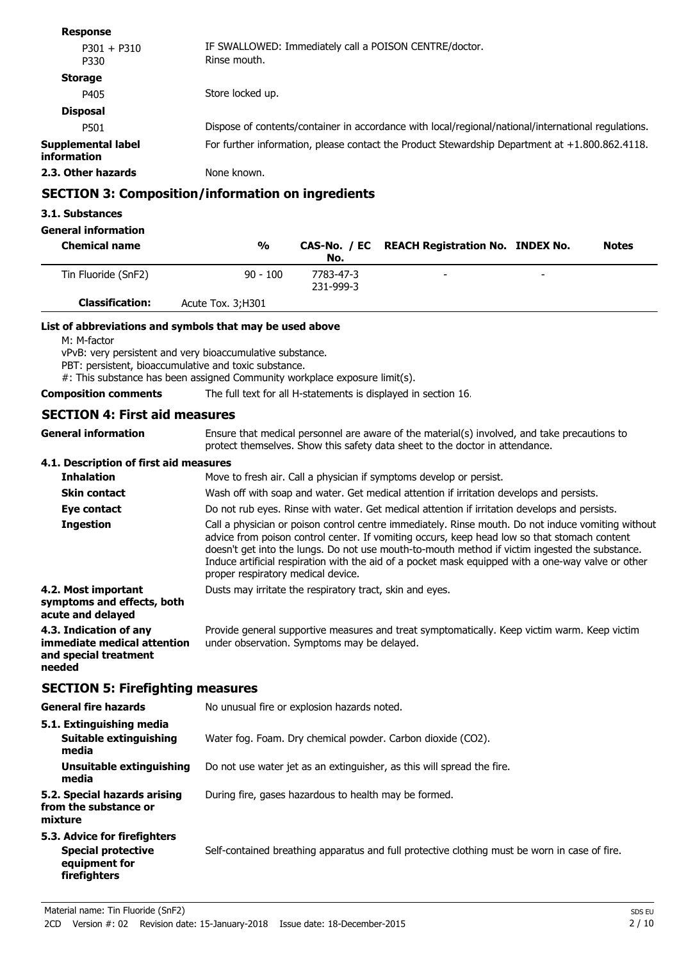| טטווטער                                  |                                                                                                     |
|------------------------------------------|-----------------------------------------------------------------------------------------------------|
| $P301 + P310$<br>P330                    | IF SWALLOWED: Immediately call a POISON CENTRE/doctor.<br>Rinse mouth.                              |
| <b>Storage</b>                           |                                                                                                     |
| P405                                     | Store locked up.                                                                                    |
| <b>Disposal</b>                          |                                                                                                     |
| P501                                     | Dispose of contents/container in accordance with local/regional/national/international regulations. |
| <b>Supplemental label</b><br>information | For further information, please contact the Product Stewardship Department at $+1.800.862.4118$ .   |
| 2.3. Other hazards                       | None known.                                                                                         |
|                                          | <b>SECTION 3: Composition/information on ingredients</b>                                            |
| 3.1. Substances                          |                                                                                                     |

## **General information**

**Response**

| <b>Chemical name</b>   | $\frac{0}{0}$      | No.                    | CAS-No. / EC REACH Registration No. INDEX No. |                          | <b>Notes</b> |
|------------------------|--------------------|------------------------|-----------------------------------------------|--------------------------|--------------|
| Tin Fluoride (SnF2)    | $90 - 100$         | 7783-47-3<br>231-999-3 | $\overline{\phantom{a}}$                      | $\overline{\phantom{a}}$ |              |
| <b>Classification:</b> | Acute Tox. 3; H301 |                        |                                               |                          |              |

#### **List of abbreviations and symbols that may be used above**

M: M-factor

vPvB: very persistent and very bioaccumulative substance.

PBT: persistent, bioaccumulative and toxic substance.

#: This substance has been assigned Community workplace exposure limit(s).

**Composition comments** The full text for all H-statements is displayed in section 16.

## **SECTION 4: First aid measures**

| General information                                                                      | Ensure that medical personnel are aware of the material(s) involved, and take precautions to<br>protect themselves. Show this safety data sheet to the doctor in attendance.                                                                                                                                                                                                                                                                     |
|------------------------------------------------------------------------------------------|--------------------------------------------------------------------------------------------------------------------------------------------------------------------------------------------------------------------------------------------------------------------------------------------------------------------------------------------------------------------------------------------------------------------------------------------------|
| 4.1. Description of first aid measures                                                   |                                                                                                                                                                                                                                                                                                                                                                                                                                                  |
| <b>Inhalation</b>                                                                        | Move to fresh air. Call a physician if symptoms develop or persist.                                                                                                                                                                                                                                                                                                                                                                              |
| <b>Skin contact</b>                                                                      | Wash off with soap and water. Get medical attention if irritation develops and persists.                                                                                                                                                                                                                                                                                                                                                         |
| Eye contact                                                                              | Do not rub eyes. Rinse with water. Get medical attention if irritation develops and persists.                                                                                                                                                                                                                                                                                                                                                    |
| <b>Ingestion</b>                                                                         | Call a physician or poison control centre immediately. Rinse mouth. Do not induce vomiting without<br>advice from poison control center. If vomiting occurs, keep head low so that stomach content<br>doesn't get into the lungs. Do not use mouth-to-mouth method if victim ingested the substance.<br>Induce artificial respiration with the aid of a pocket mask equipped with a one-way valve or other<br>proper respiratory medical device. |
| 4.2. Most important<br>symptoms and effects, both<br>acute and delayed                   | Dusts may irritate the respiratory tract, skin and eyes.                                                                                                                                                                                                                                                                                                                                                                                         |
| 4.3. Indication of any<br>immediate medical attention<br>and special treatment<br>needed | Provide general supportive measures and treat symptomatically. Keep victim warm. Keep victim<br>under observation. Symptoms may be delayed.                                                                                                                                                                                                                                                                                                      |
| ---------                                                                                |                                                                                                                                                                                                                                                                                                                                                                                                                                                  |

## **SECTION 5: Firefighting measures**

| <b>General fire hazards</b>                                                                       | No unusual fire or explosion hazards noted.                                                   |
|---------------------------------------------------------------------------------------------------|-----------------------------------------------------------------------------------------------|
| 5.1. Extinguishing media                                                                          |                                                                                               |
| Suitable extinguishing<br>media                                                                   | Water fog. Foam. Dry chemical powder. Carbon dioxide (CO2).                                   |
| Unsuitable extinguishing<br>media                                                                 | Do not use water jet as an extinguisher, as this will spread the fire.                        |
| 5.2. Special hazards arising<br>from the substance or<br>mixture                                  | During fire, gases hazardous to health may be formed.                                         |
| 5.3. Advice for firefighters<br><b>Special protective</b><br>equipment for<br><b>firefighters</b> | Self-contained breathing apparatus and full protective clothing must be worn in case of fire. |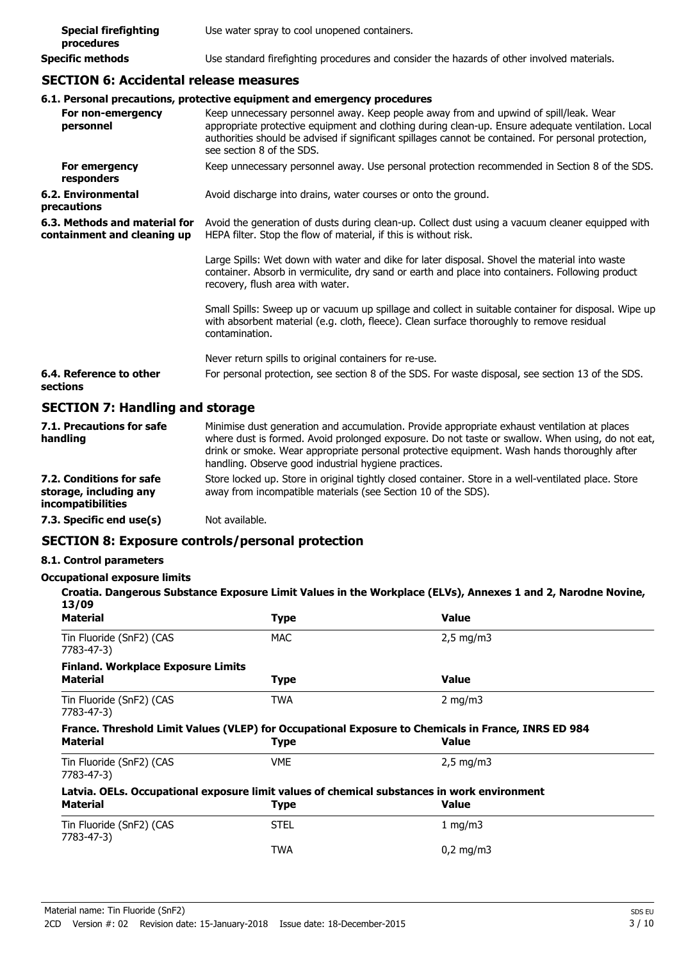| <b>Special firefighting</b><br>procedures | Use water spray to cool unopened containers.                                               |
|-------------------------------------------|--------------------------------------------------------------------------------------------|
| Specific methods                          | Use standard firefighting procedures and consider the hazards of other involved materials. |

## **SECTION 6: Accidental release measures**

|                                                              | 6.1. Personal precautions, protective equipment and emergency procedures                                                                                                                                                                                                                                                        |
|--------------------------------------------------------------|---------------------------------------------------------------------------------------------------------------------------------------------------------------------------------------------------------------------------------------------------------------------------------------------------------------------------------|
| For non-emergency<br>personnel                               | Keep unnecessary personnel away. Keep people away from and upwind of spill/leak. Wear<br>appropriate protective equipment and clothing during clean-up. Ensure adequate ventilation. Local<br>authorities should be advised if significant spillages cannot be contained. For personal protection,<br>see section 8 of the SDS. |
| For emergency<br>responders                                  | Keep unnecessary personnel away. Use personal protection recommended in Section 8 of the SDS.                                                                                                                                                                                                                                   |
| 6.2. Environmental<br>precautions                            | Avoid discharge into drains, water courses or onto the ground.                                                                                                                                                                                                                                                                  |
| 6.3. Methods and material for<br>containment and cleaning up | Avoid the generation of dusts during clean-up. Collect dust using a vacuum cleaner equipped with<br>HEPA filter. Stop the flow of material, if this is without risk.                                                                                                                                                            |
|                                                              | Large Spills: Wet down with water and dike for later disposal. Shovel the material into waste<br>container. Absorb in vermiculite, dry sand or earth and place into containers. Following product<br>recovery, flush area with water.                                                                                           |
|                                                              | Small Spills: Sweep up or vacuum up spillage and collect in suitable container for disposal. Wipe up<br>with absorbent material (e.g. cloth, fleece). Clean surface thoroughly to remove residual<br>contamination.                                                                                                             |
|                                                              | Never return spills to original containers for re-use.                                                                                                                                                                                                                                                                          |
| 6.4. Reference to other<br>sections                          | For personal protection, see section 8 of the SDS. For waste disposal, see section 13 of the SDS.                                                                                                                                                                                                                               |
| <b>SECTION 7: Handling and storage</b>                       |                                                                                                                                                                                                                                                                                                                                 |

| 7.1. Precautions for safe<br>handling                                   | Minimise dust generation and accumulation. Provide appropriate exhaust ventilation at places<br>where dust is formed. Avoid prolonged exposure. Do not taste or swallow. When using, do not eat,<br>drink or smoke. Wear appropriate personal protective equipment. Wash hands thoroughly after<br>handling. Observe good industrial hygiene practices. |
|-------------------------------------------------------------------------|---------------------------------------------------------------------------------------------------------------------------------------------------------------------------------------------------------------------------------------------------------------------------------------------------------------------------------------------------------|
| 7.2. Conditions for safe<br>storage, including any<br>incompatibilities | Store locked up. Store in original tightly closed container. Store in a well-ventilated place. Store<br>away from incompatible materials (see Section 10 of the SDS).                                                                                                                                                                                   |
| 7.3. Specific end use(s)                                                | Not available.                                                                                                                                                                                                                                                                                                                                          |

## **SECTION 8: Exposure controls/personal protection**

## **8.1. Control parameters**

#### **Occupational exposure limits**

| cupational exposure limits<br>13/09                          |             | Croatia. Dangerous Substance Exposure Limit Values in the Workplace (ELVs), Annexes 1 and 2, Narodne Novine,        |
|--------------------------------------------------------------|-------------|---------------------------------------------------------------------------------------------------------------------|
| <b>Material</b>                                              | <b>Type</b> | <b>Value</b>                                                                                                        |
| Tin Fluoride (SnF2) (CAS<br>7783-47-3)                       | <b>MAC</b>  | $2.5 \text{ mg/m}$                                                                                                  |
| <b>Finland. Workplace Exposure Limits</b><br><b>Material</b> | <b>Type</b> | <b>Value</b>                                                                                                        |
| Tin Fluoride (SnF2) (CAS<br>7783-47-3)                       | <b>TWA</b>  | $2 \text{ mg/m}$                                                                                                    |
| <b>Material</b>                                              | <b>Type</b> | France. Threshold Limit Values (VLEP) for Occupational Exposure to Chemicals in France, INRS ED 984<br><b>Value</b> |
| Tin Fluoride (SnF2) (CAS                                     | <b>VME</b>  | $2.5 \text{ mg/m}$                                                                                                  |

7783-47-3) **Latvia. OELs. Occupational exposure limit values of chemical substances in work environment Material Type Value** Tin Fluoride (SnF2) (CAS STEL 1 mg/m3 7783-47-3)

TWA 0,2 mg/m3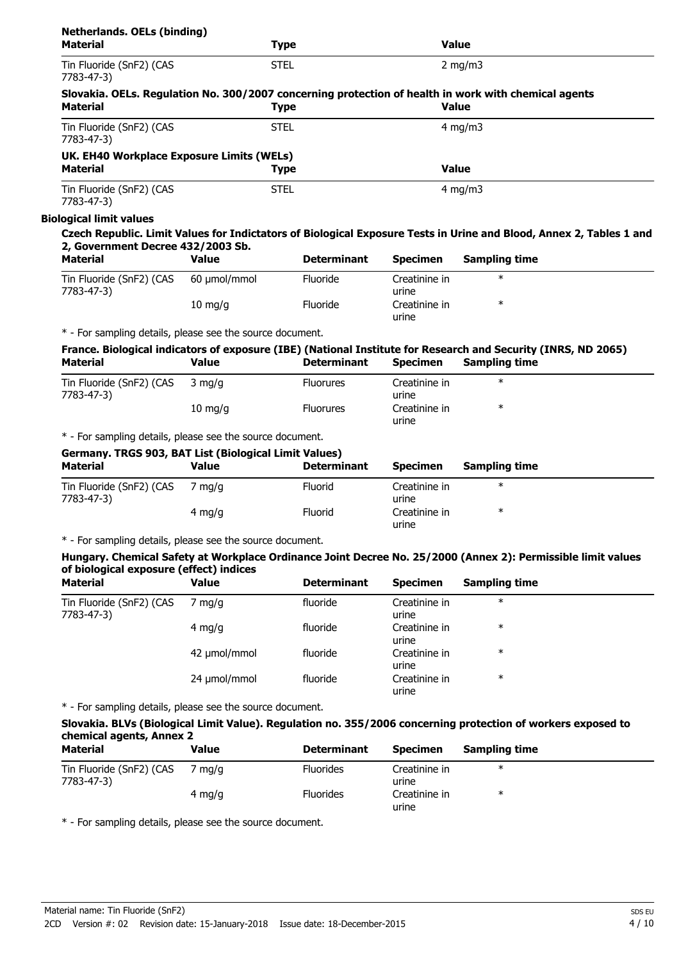| <b>Netherlands. OELs (binding)</b><br><b>Material</b>     |                  | <b>Type</b>        |                        | <b>Value</b>                                                                                                         |
|-----------------------------------------------------------|------------------|--------------------|------------------------|----------------------------------------------------------------------------------------------------------------------|
| Tin Fluoride (SnF2) (CAS<br>7783-47-3)                    |                  | <b>STEL</b>        |                        | $2$ mg/m $3$                                                                                                         |
| <b>Material</b>                                           |                  | <b>Type</b>        |                        | Slovakia. OELs. Regulation No. 300/2007 concerning protection of health in work with chemical agents<br><b>Value</b> |
| Tin Fluoride (SnF2) (CAS<br>7783-47-3)                    |                  | <b>STEL</b>        |                        | $4 \text{ mg/m}$                                                                                                     |
| UK. EH40 Workplace Exposure Limits (WELs)                 |                  |                    |                        |                                                                                                                      |
| <b>Material</b>                                           |                  | <b>Type</b>        |                        | <b>Value</b>                                                                                                         |
| Tin Fluoride (SnF2) (CAS<br>7783-47-3)                    |                  | <b>STEL</b>        |                        | $4 \text{ mg/m}$                                                                                                     |
| <b>Biological limit values</b>                            |                  |                    |                        |                                                                                                                      |
| 2, Government Decree 432/2003 Sb.                         |                  |                    |                        | Czech Republic. Limit Values for Indictators of Biological Exposure Tests in Urine and Blood, Annex 2, Tables 1 and  |
| <b>Material</b>                                           | Value            | <b>Determinant</b> | <b>Specimen</b>        | <b>Sampling time</b>                                                                                                 |
| Tin Fluoride (SnF2) (CAS<br>7783-47-3)                    | 60 µmol/mmol     | Fluoride           | Creatinine in<br>urine | $\ast$                                                                                                               |
|                                                           | $10 \; mg/g$     | Fluoride           | Creatinine in<br>urine | $\ast$                                                                                                               |
| * - For sampling details, please see the source document. |                  |                    |                        |                                                                                                                      |
|                                                           |                  |                    |                        | France. Biological indicators of exposure (IBE) (National Institute for Research and Security (INRS, ND 2065)        |
| <b>Material</b>                                           | <b>Value</b>     | <b>Determinant</b> | <b>Specimen</b>        | <b>Sampling time</b>                                                                                                 |
| Tin Fluoride (SnF2) (CAS<br>7783-47-3)                    | $3 \text{ mg/q}$ | <b>Fluorures</b>   | Creatinine in<br>urine | $\ast$                                                                                                               |

\* - For sampling details, please see the source document.

#### **Germany. TRGS 903, BAT List (Biological Limit Values)**

| <u>semanyi inso you, umi eius (ulological emme falacu)</u><br>Material | Value  | <b>Determinant</b> | <b>Specimen</b>        | <b>Sampling time</b> |  |
|------------------------------------------------------------------------|--------|--------------------|------------------------|----------------------|--|
| Tin Fluoride (SnF2) (CAS<br>7783-47-3)                                 | ma/a   | Fluorid            | Creatinine in<br>urine | $\ast$               |  |
|                                                                        | 4 mg/g | Fluorid            | Creatinine in<br>urine | $\ast$               |  |

urine

\*

10 mg/g Fluorures Creatinine in

\* - For sampling details, please see the source document.

#### **Hungary. Chemical Safety at Workplace Ordinance Joint Decree No. 25/2000 (Annex 2): Permissible limit values of biological exposure (effect) indices**

| <b>Material</b>                        | <b>Value</b> | <b>Determinant</b> | <b>Specimen</b>        | <b>Sampling time</b> |  |
|----------------------------------------|--------------|--------------------|------------------------|----------------------|--|
| Tin Fluoride (SnF2) (CAS<br>7783-47-3) | mg/g         | fluoride           | Creatinine in<br>urine | $\ast$               |  |
|                                        | 4 mg/g       | fluoride           | Creatinine in<br>urine | $\ast$               |  |
|                                        | 42 umol/mmol | fluoride           | Creatinine in<br>urine | $\ast$               |  |
|                                        | 24 µmol/mmol | fluoride           | Creatinine in<br>urine | $\ast$               |  |

\* - For sampling details, please see the source document.

## **Slovakia. BLVs (Biological Limit Value). Regulation no. 355/2006 concerning protection of workers exposed to chemical agents, Annex 2**

| Material                               | Value  | <b>Determinant</b> | <b>Specimen</b>        | <b>Sampling time</b> |
|----------------------------------------|--------|--------------------|------------------------|----------------------|
| Tin Fluoride (SnF2) (CAS<br>7783-47-3) | ma/a   | <b>Fluorides</b>   | Creatinine in<br>urine | ∗                    |
|                                        | 4 mg/g | <b>Fluorides</b>   | Creatinine in<br>urine | ∗                    |

\* - For sampling details, please see the source document.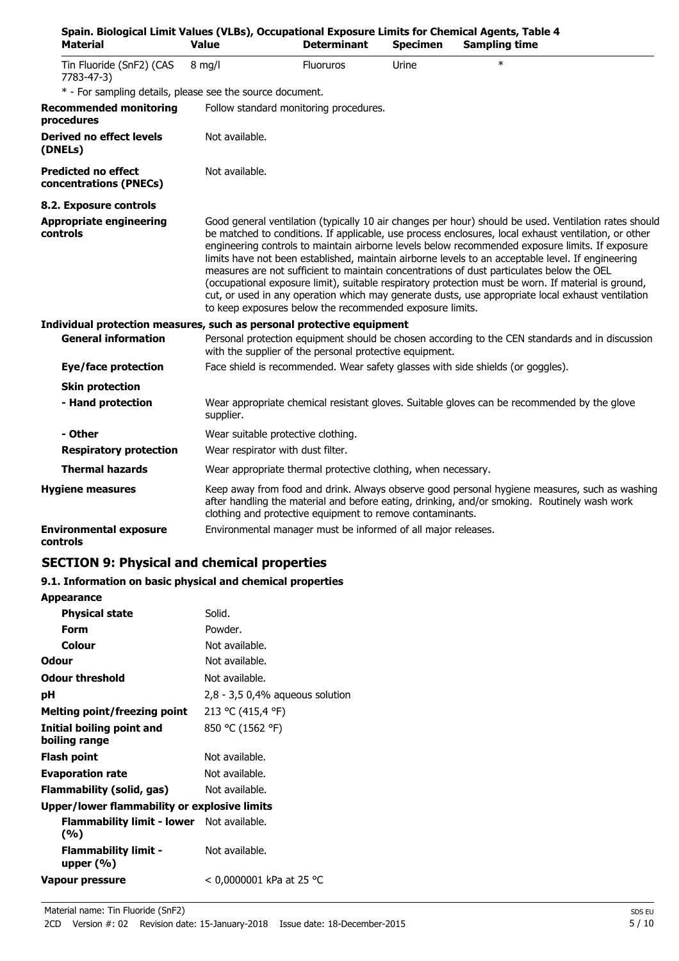| Spain. Biological Limit Values (VLBs), Occupational Exposure Limits for Chemical Agents, Table 4<br><b>Material</b> | <b>Value</b>                       | <b>Determinant</b>                                            | <b>Specimen</b> | <b>Sampling time</b>                                                                                                                                                                                                                                                                                                                                                                                                                                                                                                                                                                                                                                                                                                           |
|---------------------------------------------------------------------------------------------------------------------|------------------------------------|---------------------------------------------------------------|-----------------|--------------------------------------------------------------------------------------------------------------------------------------------------------------------------------------------------------------------------------------------------------------------------------------------------------------------------------------------------------------------------------------------------------------------------------------------------------------------------------------------------------------------------------------------------------------------------------------------------------------------------------------------------------------------------------------------------------------------------------|
| Tin Fluoride (SnF2) (CAS<br>7783-47-3)                                                                              | $8$ mg/l                           | <b>Fluoruros</b>                                              | Urine           | $\ast$                                                                                                                                                                                                                                                                                                                                                                                                                                                                                                                                                                                                                                                                                                                         |
| * - For sampling details, please see the source document.                                                           |                                    |                                                               |                 |                                                                                                                                                                                                                                                                                                                                                                                                                                                                                                                                                                                                                                                                                                                                |
| <b>Recommended monitoring</b><br>procedures                                                                         |                                    | Follow standard monitoring procedures.                        |                 |                                                                                                                                                                                                                                                                                                                                                                                                                                                                                                                                                                                                                                                                                                                                |
| <b>Derived no effect levels</b><br>(DNELs)                                                                          | Not available.                     |                                                               |                 |                                                                                                                                                                                                                                                                                                                                                                                                                                                                                                                                                                                                                                                                                                                                |
| <b>Predicted no effect</b><br>concentrations (PNECs)                                                                | Not available.                     |                                                               |                 |                                                                                                                                                                                                                                                                                                                                                                                                                                                                                                                                                                                                                                                                                                                                |
| 8.2. Exposure controls                                                                                              |                                    |                                                               |                 |                                                                                                                                                                                                                                                                                                                                                                                                                                                                                                                                                                                                                                                                                                                                |
| <b>Appropriate engineering</b><br><b>controls</b>                                                                   |                                    | to keep exposures below the recommended exposure limits.      |                 | Good general ventilation (typically 10 air changes per hour) should be used. Ventilation rates should<br>be matched to conditions. If applicable, use process enclosures, local exhaust ventilation, or other<br>engineering controls to maintain airborne levels below recommended exposure limits. If exposure<br>limits have not been established, maintain airborne levels to an acceptable level. If engineering<br>measures are not sufficient to maintain concentrations of dust particulates below the OEL<br>(occupational exposure limit), suitable respiratory protection must be worn. If material is ground,<br>cut, or used in any operation which may generate dusts, use appropriate local exhaust ventilation |
| Individual protection measures, such as personal protective equipment                                               |                                    |                                                               |                 |                                                                                                                                                                                                                                                                                                                                                                                                                                                                                                                                                                                                                                                                                                                                |
| <b>General information</b>                                                                                          |                                    | with the supplier of the personal protective equipment.       |                 | Personal protection equipment should be chosen according to the CEN standards and in discussion                                                                                                                                                                                                                                                                                                                                                                                                                                                                                                                                                                                                                                |
| Eye/face protection                                                                                                 |                                    |                                                               |                 | Face shield is recommended. Wear safety glasses with side shields (or goggles).                                                                                                                                                                                                                                                                                                                                                                                                                                                                                                                                                                                                                                                |
| <b>Skin protection</b>                                                                                              |                                    |                                                               |                 |                                                                                                                                                                                                                                                                                                                                                                                                                                                                                                                                                                                                                                                                                                                                |
| - Hand protection                                                                                                   | supplier.                          |                                                               |                 | Wear appropriate chemical resistant gloves. Suitable gloves can be recommended by the glove                                                                                                                                                                                                                                                                                                                                                                                                                                                                                                                                                                                                                                    |
| - Other                                                                                                             | Wear suitable protective clothing. |                                                               |                 |                                                                                                                                                                                                                                                                                                                                                                                                                                                                                                                                                                                                                                                                                                                                |
| <b>Respiratory protection</b>                                                                                       | Wear respirator with dust filter.  |                                                               |                 |                                                                                                                                                                                                                                                                                                                                                                                                                                                                                                                                                                                                                                                                                                                                |
| <b>Thermal hazards</b>                                                                                              |                                    | Wear appropriate thermal protective clothing, when necessary. |                 |                                                                                                                                                                                                                                                                                                                                                                                                                                                                                                                                                                                                                                                                                                                                |
| <b>Hygiene measures</b>                                                                                             |                                    | clothing and protective equipment to remove contaminants.     |                 | Keep away from food and drink. Always observe good personal hygiene measures, such as washing<br>after handling the material and before eating, drinking, and/or smoking. Routinely wash work                                                                                                                                                                                                                                                                                                                                                                                                                                                                                                                                  |
| <b>Environmental exposure</b><br>controls                                                                           |                                    | Environmental manager must be informed of all major releases. |                 |                                                                                                                                                                                                                                                                                                                                                                                                                                                                                                                                                                                                                                                                                                                                |

## **SECTION 9: Physical and chemical properties**

## **9.1. Information on basic physical and chemical properties**

| <b>Appearance</b>                                   |                                   |
|-----------------------------------------------------|-----------------------------------|
| <b>Physical state</b>                               | Solid.                            |
| Form                                                | Powder.                           |
| Colour                                              | Not available.                    |
| Odour                                               | Not available.                    |
| <b>Odour threshold</b>                              | Not available.                    |
| рH                                                  | $2,8 - 3,5$ 0,4% aqueous solution |
| Melting point/freezing point                        | 213 °C (415,4 °F)                 |
| Initial boiling point and<br>boiling range          | 850 °C (1562 °F)                  |
| <b>Flash point</b>                                  | Not available.                    |
| <b>Evaporation rate</b>                             | Not available.                    |
| <b>Flammability (solid, gas)</b>                    | Not available.                    |
| <b>Upper/lower flammability or explosive limits</b> |                                   |
| Flammability limit - lower Not available.<br>(%)    |                                   |
| <b>Flammability limit -</b><br>upper $(%$           | Not available.                    |
| Vapour pressure                                     | < 0,0000001 kPa at 25 °C          |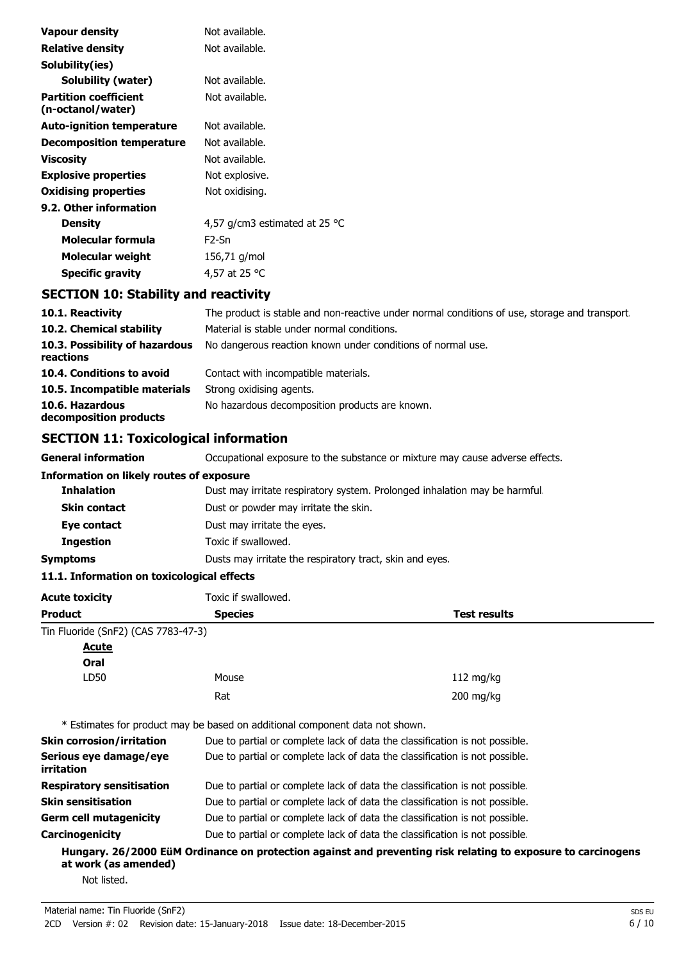| <b>Vapour density</b>                             | Not available.                          |
|---------------------------------------------------|-----------------------------------------|
| Relative density                                  | Not available.                          |
| Solubility(ies)                                   |                                         |
| Solubility (water)                                | Not available.                          |
| <b>Partition coefficient</b><br>(n-octanol/water) | Not available.                          |
| <b>Auto-ignition temperature</b>                  | Not available.                          |
| <b>Decomposition temperature</b>                  | Not available.                          |
| Viscosity                                         | Not available.                          |
| <b>Explosive properties</b>                       | Not explosive.                          |
| <b>Oxidising properties</b>                       | Not oxidising.                          |
| 9.2. Other information                            |                                         |
| <b>Density</b>                                    | 4,57 g/cm3 estimated at 25 $^{\circ}$ C |
| Molecular formula                                 | F <sub>2</sub> -Sn                      |
| Molecular weight                                  | 156,71 g/mol                            |
| Specific gravity                                  | 4,57 at 25 °C                           |

## **SECTION 10: Stability and reactivity**

| 10.1. Reactivity                            | The product is stable and non-reactive under normal conditions of use, storage and transport |
|---------------------------------------------|----------------------------------------------------------------------------------------------|
| 10.2. Chemical stability                    | Material is stable under normal conditions.                                                  |
| 10.3. Possibility of hazardous<br>reactions | No dangerous reaction known under conditions of normal use.                                  |
| 10.4. Conditions to avoid                   | Contact with incompatible materials.                                                         |
| 10.5. Incompatible materials                | Strong oxidising agents.                                                                     |
| 10.6. Hazardous<br>decomposition products   | No hazardous decomposition products are known.                                               |

## **SECTION 11: Toxicological information**

**General information CCCUPATION** Occupational exposure to the substance or mixture may cause adverse effects.

| Information on likely routes of exposure |  |  |
|------------------------------------------|--|--|
|------------------------------------------|--|--|

| <b>Inhalation</b>   | Dust may irritate respiratory system. Prolonged inhalation may be harmful. |
|---------------------|----------------------------------------------------------------------------|
| <b>Skin contact</b> | Dust or powder may irritate the skin.                                      |
| Eye contact         | Dust may irritate the eyes.                                                |
| <b>Ingestion</b>    | Toxic if swallowed.                                                        |
| Symptoms            | Dusts may irritate the respiratory tract, skin and eyes.                   |

## **11.1. Information on toxicological effects**

| Acute toxicity                       | Toxic if swallowed.                                                          |                                                                                                              |
|--------------------------------------|------------------------------------------------------------------------------|--------------------------------------------------------------------------------------------------------------|
| Product                              | <b>Species</b>                                                               | <b>Test results</b>                                                                                          |
| Tin Fluoride (SnF2) (CAS 7783-47-3)  |                                                                              |                                                                                                              |
| <u>Acute</u>                         |                                                                              |                                                                                                              |
| Oral                                 |                                                                              |                                                                                                              |
| LD50                                 | Mouse                                                                        | 112 mg/kg                                                                                                    |
|                                      | Rat                                                                          | $200$ mg/kg                                                                                                  |
|                                      | * Estimates for product may be based on additional component data not shown. |                                                                                                              |
| Skin corrosion/irritation            | Due to partial or complete lack of data the classification is not possible.  |                                                                                                              |
| Serious eye damage/eye<br>irritation | Due to partial or complete lack of data the classification is not possible.  |                                                                                                              |
| Respiratory sensitisation            | Due to partial or complete lack of data the classification is not possible.  |                                                                                                              |
| Skin sensitisation                   | Due to partial or complete lack of data the classification is not possible.  |                                                                                                              |
| Germ cell mutagenicity               | Due to partial or complete lack of data the classification is not possible.  |                                                                                                              |
| Carcinogenicity                      | Due to partial or complete lack of data the classification is not possible.  |                                                                                                              |
| at work (as amended)                 |                                                                              | Hungary. 26/2000 EüM Ordinance on protection against and preventing risk relating to exposure to carcinogens |
| Not listed.                          |                                                                              |                                                                                                              |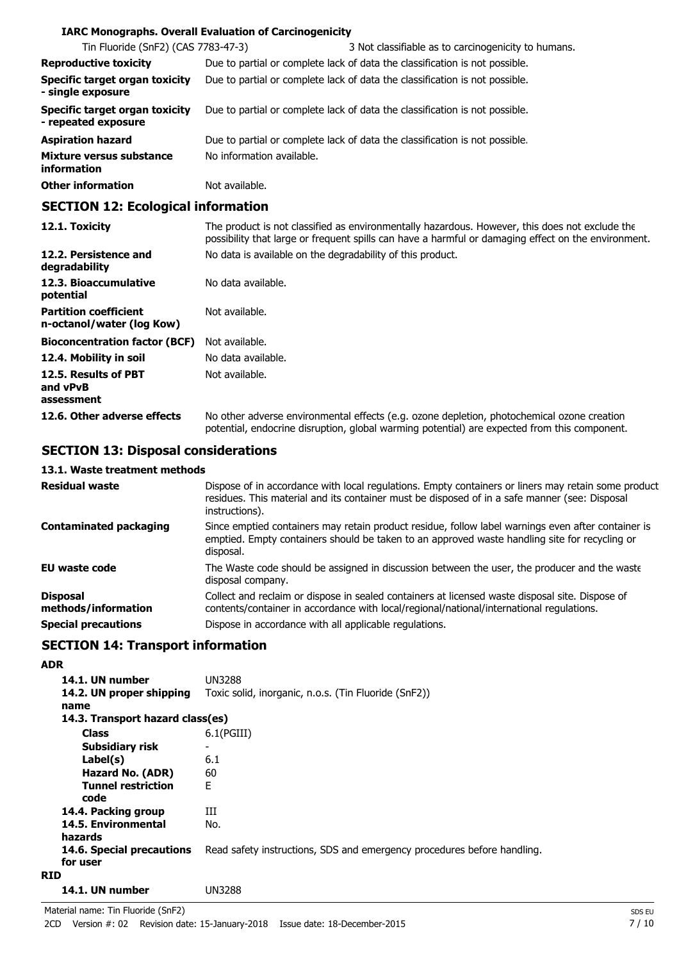## **IARC Monographs. Overall Evaluation of Carcinogenicity**

| Tin Fluoride (SnF2) (CAS 7783-47-3)                          |                           | 3 Not classifiable as to carcinogenicity to humans.                         |
|--------------------------------------------------------------|---------------------------|-----------------------------------------------------------------------------|
| <b>Reproductive toxicity</b>                                 |                           | Due to partial or complete lack of data the classification is not possible. |
| <b>Specific target organ toxicity</b><br>- single exposure   |                           | Due to partial or complete lack of data the classification is not possible. |
| <b>Specific target organ toxicity</b><br>- repeated exposure |                           | Due to partial or complete lack of data the classification is not possible. |
| <b>Aspiration hazard</b>                                     |                           | Due to partial or complete lack of data the classification is not possible. |
| Mixture versus substance<br><b>information</b>               | No information available. |                                                                             |
| <b>Other information</b>                                     | Not available.            |                                                                             |

## **SECTION 12: Ecological information**

| 12.1. Toxicity                                            | The product is not classified as environmentally hazardous. However, this does not exclude the<br>possibility that large or frequent spills can have a harmful or damaging effect on the environment. |
|-----------------------------------------------------------|-------------------------------------------------------------------------------------------------------------------------------------------------------------------------------------------------------|
| 12.2. Persistence and<br>degradability                    | No data is available on the degradability of this product.                                                                                                                                            |
| 12.3. Bioaccumulative<br>potential                        | No data available.                                                                                                                                                                                    |
| <b>Partition coefficient</b><br>n-octanol/water (log Kow) | Not available.                                                                                                                                                                                        |
| <b>Bioconcentration factor (BCF)</b>                      | Not available.                                                                                                                                                                                        |
| 12.4. Mobility in soil                                    | No data available.                                                                                                                                                                                    |
| 12.5. Results of PBT<br>and vPvB<br>assessment            | Not available.                                                                                                                                                                                        |
| 12.6. Other adverse effects                               | No other adverse environmental effects (e.g. ozone depletion, photochemical ozone creation<br>potential, endocrine disruption, global warming potential) are expected from this component.            |

## **SECTION 13: Disposal considerations**

## **13.1. Waste treatment methods**

| <b>Residual waste</b>                  | Dispose of in accordance with local regulations. Empty containers or liners may retain some product<br>residues. This material and its container must be disposed of in a safe manner (see: Disposal<br>instructions). |
|----------------------------------------|------------------------------------------------------------------------------------------------------------------------------------------------------------------------------------------------------------------------|
| <b>Contaminated packaging</b>          | Since emptied containers may retain product residue, follow label warnings even after container is<br>emptied. Empty containers should be taken to an approved waste handling site for recycling or<br>disposal.       |
| <b>EU waste code</b>                   | The Waste code should be assigned in discussion between the user, the producer and the waste<br>disposal company.                                                                                                      |
| <b>Disposal</b><br>methods/information | Collect and reclaim or dispose in sealed containers at licensed waste disposal site. Dispose of<br>contents/container in accordance with local/regional/national/international regulations.                            |
| <b>Special precautions</b>             | Dispose in accordance with all applicable regulations.                                                                                                                                                                 |

## **SECTION 14: Transport information**

| <b>ADR</b>                            |                                                                         |
|---------------------------------------|-------------------------------------------------------------------------|
| 14.1. UN number                       | <b>UN3288</b>                                                           |
| 14.2. UN proper shipping<br>name      | Toxic solid, inorganic, n.o.s. (Tin Fluoride (SnF2))                    |
| 14.3. Transport hazard class(es)      |                                                                         |
| <b>Class</b>                          | $6.1$ (PGIII)                                                           |
| Subsidiary risk                       |                                                                         |
| Label(s)                              | 6.1                                                                     |
| Hazard No. (ADR)                      | 60                                                                      |
| <b>Tunnel restriction</b><br>code     | F                                                                       |
| 14.4. Packing group                   | Ш                                                                       |
| 14.5. Environmental<br>hazards        | No.                                                                     |
| 14.6. Special precautions<br>for user | Read safety instructions, SDS and emergency procedures before handling. |
| <b>RID</b>                            |                                                                         |
| 14.1. UN number                       | <b>UN3288</b>                                                           |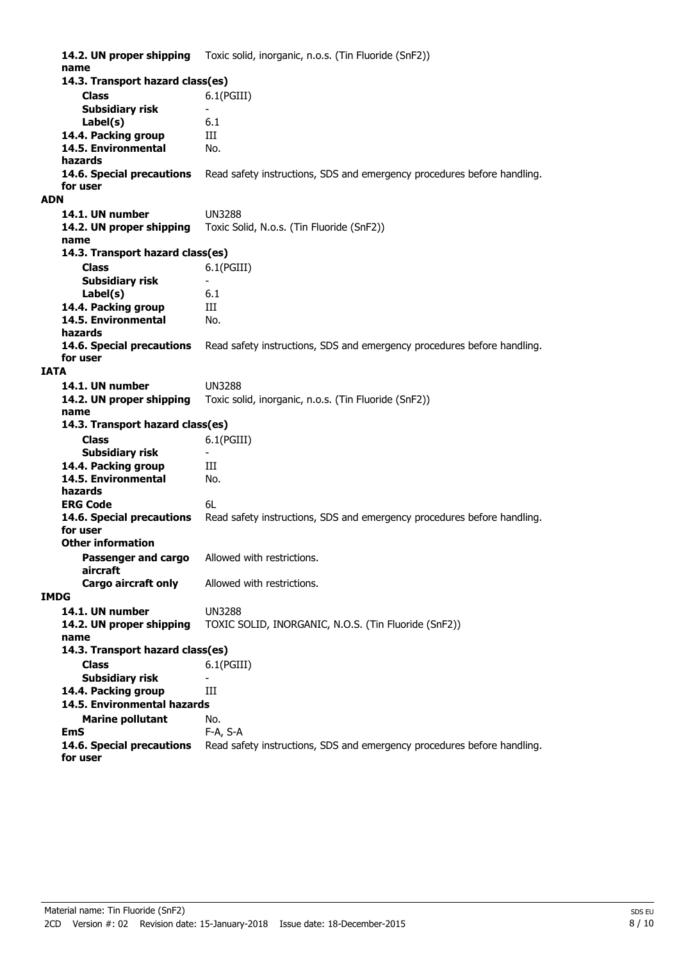**14.2. UN proper shipping** Toxic solid, inorganic, n.o.s. (Tin Fluoride (SnF2)) **name Class** 6.1(PGIII) **14.3. Transport hazard class(es) Subsidiary risk Label(s)** 6.1 14.4. Packing group **III 14.5. Environmental** No. **hazards 14.6. Special precautions** Read safety instructions, SDS and emergency procedures before handling. **for user ADN 14.1. UN number** UN3288 **14.2. UN proper shipping** Toxic Solid, N.o.s. (Tin Fluoride (SnF2)) **name Class** 6.1(PGIII) **14.3. Transport hazard class(es) Subsidiary risk Label(s)** 6.1 **14.4. Packing group III 14.5. Environmental** No. **hazards 14.6. Special precautions** Read safety instructions, SDS and emergency procedures before handling. **for user IATA 14.1. UN number** UN3288 **14.2. UN proper shipping** Toxic solid, inorganic, n.o.s. (Tin Fluoride (SnF2)) **name Class** 6.1(PGIII) **14.3. Transport hazard class(es) Subsidiary risk** 14.4. Packing group **III 14.5. Environmental** No. **hazards ERG Code** 6L **14.6. Special precautions** Read safety instructions, SDS and emergency procedures before handling. **for user Passenger and cargo** Allowed with restrictions. **aircraft Other information Cargo aircraft only** Allowed with restrictions. **IMDG 14.1. UN number** UN3288 **14.2. UN proper shipping** TOXIC SOLID, INORGANIC, N.O.S. (Tin Fluoride (SnF2)) **name Class** 6.1(PGIII) **14.3. Transport hazard class(es) Subsidiary risk 14.4. Packing group III Marine pollutant** No. **14.5. Environmental hazards EmS** F-A, S-A **14.6. Special precautions** Read safety instructions, SDS and emergency procedures before handling. **for user**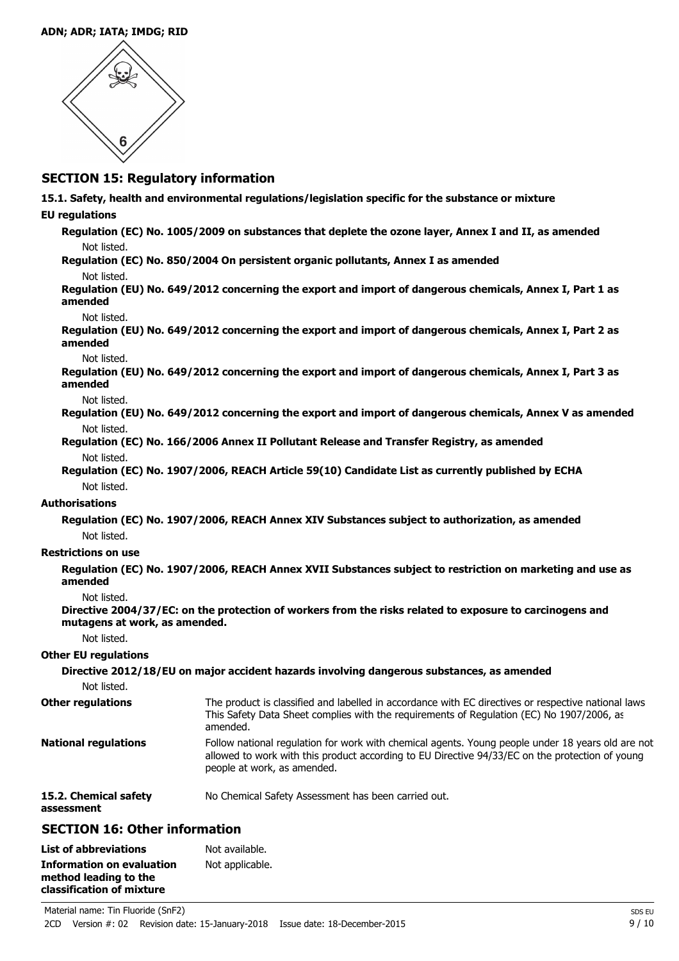#### **ADN; ADR; IATA; IMDG; RID**



## **SECTION 15: Regulatory information**

**15.1. Safety, health and environmental regulations/legislation specific for the substance or mixture**

## **EU regulations**

**Regulation (EC) No. 1005/2009 on substances that deplete the ozone layer, Annex I and II, as amended** Not listed.

**Regulation (EC) No. 850/2004 On persistent organic pollutants, Annex I as amended** Not listed.

**Regulation (EU) No. 649/2012 concerning the export and import of dangerous chemicals, Annex I, Part 1 as amended**

#### Not listed.

**Regulation (EU) No. 649/2012 concerning the export and import of dangerous chemicals, Annex I, Part 2 as amended**

#### Not listed.

**Regulation (EU) No. 649/2012 concerning the export and import of dangerous chemicals, Annex I, Part 3 as amended**

Not listed.

**Regulation (EU) No. 649/2012 concerning the export and import of dangerous chemicals, Annex V as amended** Not listed.

- **Regulation (EC) No. 166/2006 Annex II Pollutant Release and Transfer Registry, as amended** Not listed.
- **Regulation (EC) No. 1907/2006, REACH Article 59(10) Candidate List as currently published by ECHA** Not listed.

#### **Authorisations**

**Regulation (EC) No. 1907/2006, REACH Annex XIV Substances subject to authorization, as amended** Not listed.

#### **Restrictions on use**

**Regulation (EC) No. 1907/2006, REACH Annex XVII Substances subject to restriction on marketing and use as amended**

### Not listed.

**Directive 2004/37/EC: on the protection of workers from the risks related to exposure to carcinogens and mutagens at work, as amended.**

Not listed.

#### **Other EU regulations**

| Not listed.                         | Directive 2012/18/EU on major accident hazards involving dangerous substances, as amended                                                                                                                                           |
|-------------------------------------|-------------------------------------------------------------------------------------------------------------------------------------------------------------------------------------------------------------------------------------|
| <b>Other regulations</b>            | The product is classified and labelled in accordance with EC directives or respective national laws.<br>This Safety Data Sheet complies with the requirements of Regulation (EC) No 1907/2006, as<br>amended.                       |
| <b>National regulations</b>         | Follow national regulation for work with chemical agents. Young people under 18 years old are not<br>allowed to work with this product according to EU Directive 94/33/EC on the protection of young<br>people at work, as amended. |
| 15.2. Chemical safety<br>assessment | No Chemical Safety Assessment has been carried out.                                                                                                                                                                                 |

## **SECTION 16: Other information**

| <b>List of abbreviations</b>     | Not available.  |
|----------------------------------|-----------------|
| <b>Information on evaluation</b> | Not applicable. |
| method leading to the            |                 |
| classification of mixture        |                 |